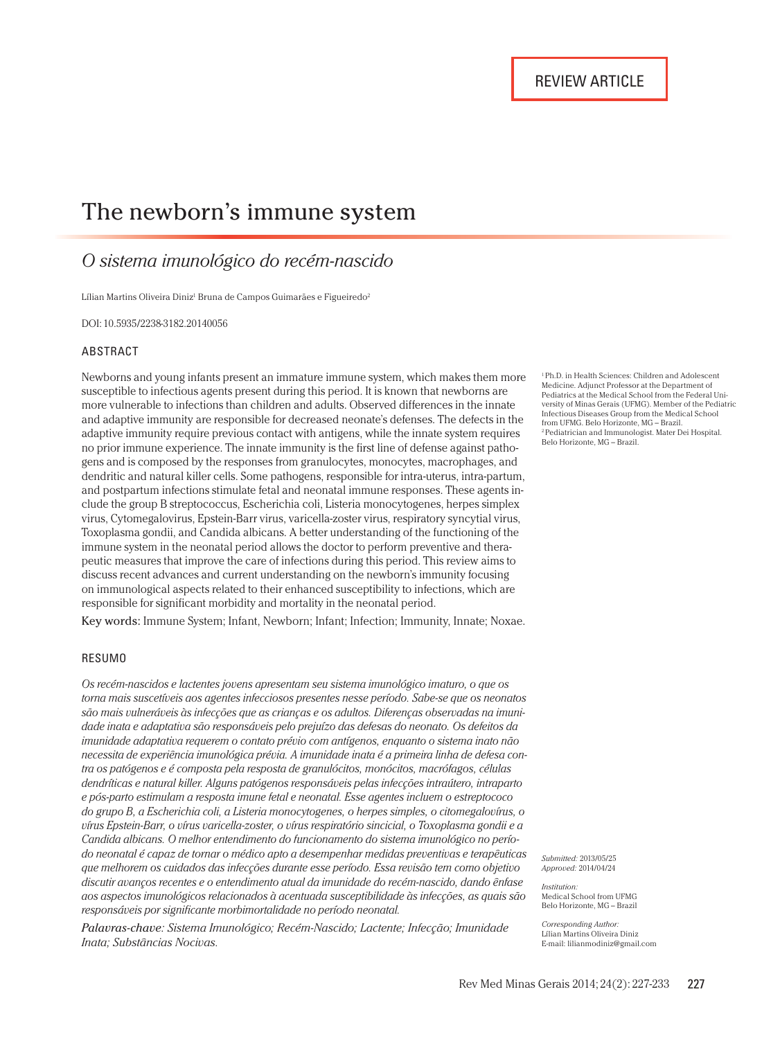# The newborn's immune system

# *O sistema imunológico do recém-nascido*

Lílian Martins Oliveira Diniz<sup>i</sup> Bruna de Campos Guimarães e Figueiredo<sup>2</sup>

DOI: 10.5935/2238-3182.20140056

#### ABSTRACT

Newborns and young infants present an immature immune system, which makes them more susceptible to infectious agents present during this period. It is known that newborns are more vulnerable to infections than children and adults. Observed differences in the innate and adaptive immunity are responsible for decreased neonate's defenses. The defects in the adaptive immunity require previous contact with antigens, while the innate system requires no prior immune experience. The innate immunity is the first line of defense against pathogens and is composed by the responses from granulocytes, monocytes, macrophages, and dendritic and natural killer cells. Some pathogens, responsible for intra-uterus, intra-partum, and postpartum infections stimulate fetal and neonatal immune responses. These agents include the group B streptococcus, Escherichia coli, Listeria monocytogenes, herpes simplex virus, Cytomegalovirus, Epstein-Barr virus, varicella-zoster virus, respiratory syncytial virus, Toxoplasma gondii, and Candida albicans. A better understanding of the functioning of the immune system in the neonatal period allows the doctor to perform preventive and therapeutic measures that improve the care of infections during this period. This review aims to discuss recent advances and current understanding on the newborn's immunity focusing on immunological aspects related to their enhanced susceptibility to infections, which are responsible for significant morbidity and mortality in the neonatal period.

Key words: Immune System; Infant, Newborn; Infant; Infection; Immunity, Innate; Noxae.

#### RESUMO

*Os recém-nascidos e lactentes jovens apresentam seu sistema imunológico imaturo, o que os torna mais suscetíveis aos agentes infecciosos presentes nesse período. Sabe-se que os neonatos são mais vulneráveis às infecções que as crianças e os adultos. Diferenças observadas na imunidade inata e adaptativa são responsáveis pelo prejuízo das defesas do neonato. Os defeitos da imunidade adaptativa requerem o contato prévio com antígenos, enquanto o sistema inato não necessita de experiência imunológica prévia. A imunidade inata é a primeira linha de defesa contra os patógenos e é composta pela resposta de granulócitos, monócitos, macrófagos, células dendríticas e natural killer. Alguns patógenos responsáveis pelas infecções intraútero, intraparto e pós-parto estimulam a resposta imune fetal e neonatal. Esse agentes incluem o estreptococo do grupo B, a Escherichia coli, a Listeria monocytogenes, o herpes simples, o citomegalovírus, o vírus Epstein-Barr, o vírus varicella-zoster, o vírus respiratório sincicial, o Toxoplasma gondii e a Candida albicans. O melhor entendimento do funcionamento do sistema imunológico no período neonatal é capaz de tornar o médico apto a desempenhar medidas preventivas e terapêuticas que melhorem os cuidados das infecções durante esse período. Essa revisão tem como objetivo discutir avanços recentes e o entendimento atual da imunidade do recém-nascido, dando ênfase aos aspectos imunológicos relacionados à acentuada susceptibilidade às infecções, as quais são responsáveis por significante morbimortalidade no período neonatal.* 

*Palavras-chave: Sistema Imunológico; Recém-Nascido; Lactente; Infecção; Imunidade Inata; Substâncias Nocivas.*

1 Ph.D. in Health Sciences: Children and Adolescent Medicine. Adjunct Professor at the Department of Pediatrics at the Medical School from the Federal University of Minas Gerais (UFMG). Member of the Pediatric Infectious Diseases Group from the Medical School from UFMG. Belo Horizonte, MG – Brazil. 2 Pediatrician and Immunologist. Mater Dei Hospital. Belo Horizonte, MG – Brazil.

*Submitted:* 2013/05/25 *Approved:* 2014/04/24

*Institution:* Medical School from UFMG Belo Horizonte, MG – Brazil

*Corresponding Author:* Lílian Martins Oliveira Diniz E-mail: lilianmodiniz@gmail.com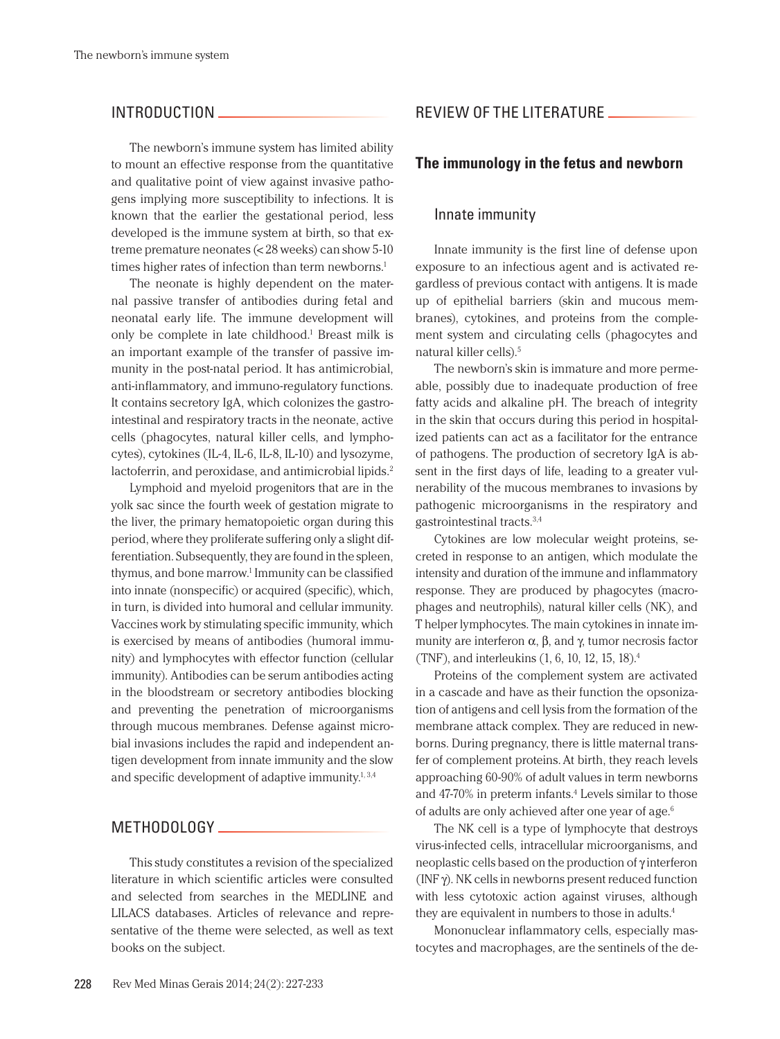# INTRODUCTION

The newborn's immune system has limited ability to mount an effective response from the quantitative and qualitative point of view against invasive pathogens implying more susceptibility to infections. It is known that the earlier the gestational period, less developed is the immune system at birth, so that extreme premature neonates (< 28 weeks) can show 5-10 times higher rates of infection than term newborns.<sup>1</sup>

The neonate is highly dependent on the maternal passive transfer of antibodies during fetal and neonatal early life. The immune development will only be complete in late childhood.<sup>1</sup> Breast milk is an important example of the transfer of passive immunity in the post-natal period. It has antimicrobial, anti-inflammatory, and immuno-regulatory functions. It contains secretory IgA, which colonizes the gastrointestinal and respiratory tracts in the neonate, active cells (phagocytes, natural killer cells, and lymphocytes), cytokines (IL-4, IL-6, IL-8, IL-10) and lysozyme, lactoferrin, and peroxidase, and antimicrobial lipids.<sup>2</sup>

Lymphoid and myeloid progenitors that are in the yolk sac since the fourth week of gestation migrate to the liver, the primary hematopoietic organ during this period, where they proliferate suffering only a slight differentiation. Subsequently, they are found in the spleen, thymus, and bone marrow.1 Immunity can be classified into innate (nonspecific) or acquired (specific), which, in turn, is divided into humoral and cellular immunity. Vaccines work by stimulating specific immunity, which is exercised by means of antibodies (humoral immunity) and lymphocytes with effector function (cellular immunity). Antibodies can be serum antibodies acting in the bloodstream or secretory antibodies blocking and preventing the penetration of microorganisms through mucous membranes. Defense against microbial invasions includes the rapid and independent antigen development from innate immunity and the slow and specific development of adaptive immunity. $1,3,4$ 

## METHODOLOGY

This study constitutes a revision of the specialized literature in which scientific articles were consulted and selected from searches in the MEDLINE and LILACS databases. Articles of relevance and representative of the theme were selected, as well as text books on the subject.

# REVIEW OF THE LITERATURE

#### **The immunology in the fetus and newborn**

### Innate immunity

Innate immunity is the first line of defense upon exposure to an infectious agent and is activated regardless of previous contact with antigens. It is made up of epithelial barriers (skin and mucous membranes), cytokines, and proteins from the complement system and circulating cells (phagocytes and natural killer cells).5

The newborn's skin is immature and more permeable, possibly due to inadequate production of free fatty acids and alkaline pH. The breach of integrity in the skin that occurs during this period in hospitalized patients can act as a facilitator for the entrance of pathogens. The production of secretory IgA is absent in the first days of life, leading to a greater vulnerability of the mucous membranes to invasions by pathogenic microorganisms in the respiratory and gastrointestinal tracts.3,4

Cytokines are low molecular weight proteins, secreted in response to an antigen, which modulate the intensity and duration of the immune and inflammatory response. They are produced by phagocytes (macrophages and neutrophils), natural killer cells (NK), and T helper lymphocytes. The main cytokines in innate immunity are interferon  $\alpha$ ,  $\beta$ , and  $\gamma$ , tumor necrosis factor (TNF), and interleukins (1, 6, 10, 12, 15, 18).4

Proteins of the complement system are activated in a cascade and have as their function the opsonization of antigens and cell lysis from the formation of the membrane attack complex. They are reduced in newborns. During pregnancy, there is little maternal transfer of complement proteins.At birth, they reach levels approaching 60-90% of adult values in term newborns and 47-70% in preterm infants.<sup>4</sup> Levels similar to those of adults are only achieved after one year of age.<sup>6</sup>

The NK cell is a type of lymphocyte that destroys virus-infected cells, intracellular microorganisms, and neoplastic cells based on the production of γ interferon (INF γ). NK cells in newborns present reduced function with less cytotoxic action against viruses, although they are equivalent in numbers to those in adults.<sup>4</sup>

Mononuclear inflammatory cells, especially mastocytes and macrophages, are the sentinels of the de-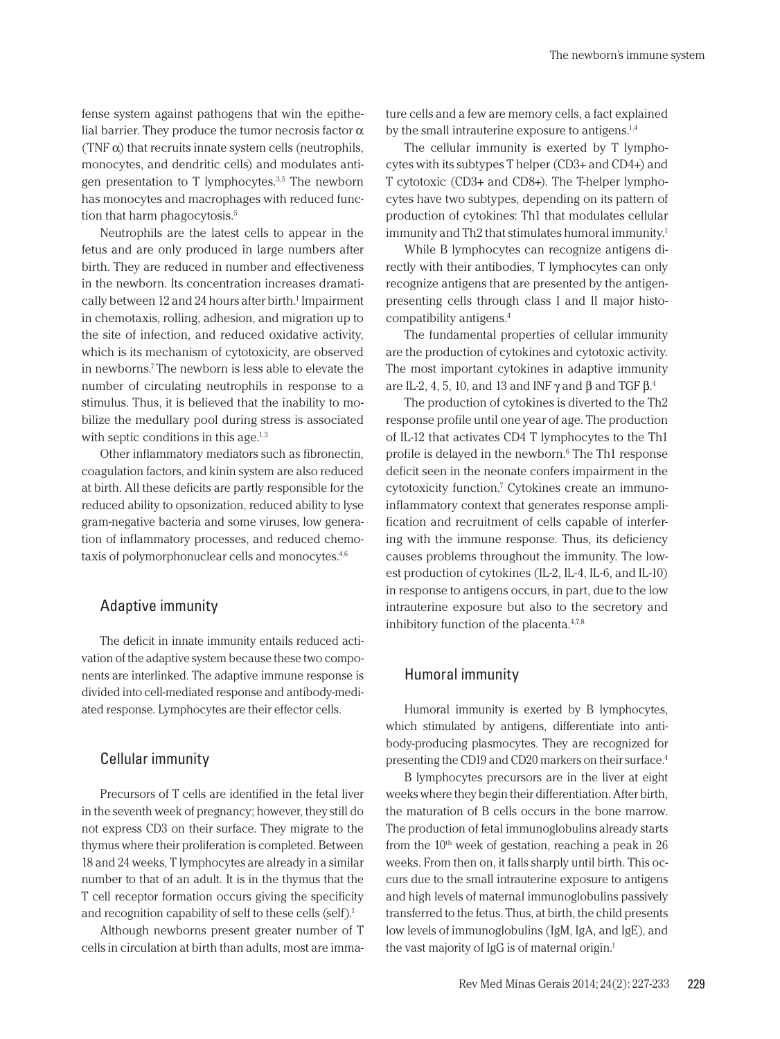fense system against pathogens that win the epithelial barrier. They produce the tumor necrosis factor  $\alpha$ (TNF $\alpha$ ) that recruits innate system cells (neutrophils, monocytes, and dendritic cells) and modulates antigen presentation to T lymphocytes.3,5 The newborn has monocytes and macrophages with reduced function that harm phagocytosis.<sup>5</sup>

Neutrophils are the latest cells to appear in the fetus and are only produced in large numbers after birth. They are reduced in number and effectiveness in the newborn. Its concentration increases dramatically between 12 and 24 hours after birth.<sup>1</sup> Impairment in chemotaxis, rolling, adhesion, and migration up to the site of infection, and reduced oxidative activity, which is its mechanism of cytotoxicity, are observed in newborns.7 The newborn is less able to elevate the number of circulating neutrophils in response to a stimulus. Thus, it is believed that the inability to mobilize the medullary pool during stress is associated with septic conditions in this age.<sup>1.3</sup>

Other inflammatory mediators such as fibronectin, coagulation factors, and kinin system are also reduced at birth. All these deficits are partly responsible for the reduced ability to opsonization, reduced ability to lyse gram-negative bacteria and some viruses, low generation of inflammatory processes, and reduced chemotaxis of polymorphonuclear cells and monocytes.<sup>4,6</sup>

## Adaptive immunity

The deficit in innate immunity entails reduced activation of the adaptive system because these two components are interlinked. The adaptive immune response is divided into cell-mediated response and antibody-mediated response. Lymphocytes are their effector cells.

# Cellular immunity

Precursors of T cells are identified in the fetal liver in the seventh week of pregnancy; however, they still do not express CD3 on their surface. They migrate to the thymus where their proliferation is completed. Between 18 and 24 weeks, T lymphocytes are already in a similar number to that of an adult. It is in the thymus that the T cell receptor formation occurs giving the specificity and recognition capability of self to these cells (self).<sup>1</sup>

Although newborns present greater number of T cells in circulation at birth than adults, most are immature cells and a few are memory cells, a fact explained by the small intrauterine exposure to antigens.<sup>1,4</sup>

The cellular immunity is exerted by T lymphocytes with its subtypes T helper (CD3+ and CD4+) and T cytotoxic (CD3+ and CD8+). The T-helper lymphocytes have two subtypes, depending on its pattern of production of cytokines: Th1 that modulates cellular immunity and Th2 that stimulates humoral immunity.<sup>1</sup>

While B lymphocytes can recognize antigens directly with their antibodies, T lymphocytes can only recognize antigens that are presented by the antigenpresenting cells through class I and II major histocompatibility antigens.4

The fundamental properties of cellular immunity are the production of cytokines and cytotoxic activity. The most important cytokines in adaptive immunity are IL-2, 4, 5, 10, and 13 and INF  $\gamma$  and β and TGF β.<sup>4</sup>

The production of cytokines is diverted to the Th2 response profile until one year of age. The production of IL-12 that activates CD4 T lymphocytes to the Th1 profile is delayed in the newborn.<sup>6</sup> The Th1 response deficit seen in the neonate confers impairment in the cytotoxicity function.<sup>7</sup> Cytokines create an immunoinflammatory context that generates response amplification and recruitment of cells capable of interfering with the immune response. Thus, its deficiency causes problems throughout the immunity. The lowest production of cytokines (IL-2, IL-4, IL-6, and IL-10) in response to antigens occurs, in part, due to the low intrauterine exposure but also to the secretory and inhibitory function of the placenta.<sup>4,7,8</sup>

#### Humoral immunity

Humoral immunity is exerted by B lymphocytes, which stimulated by antigens, differentiate into antibody-producing plasmocytes. They are recognized for presenting the CD19 and CD20 markers on their surface.4

B lymphocytes precursors are in the liver at eight weeks where they begin their differentiation. After birth, the maturation of B cells occurs in the bone marrow. The production of fetal immunoglobulins already starts from the  $10<sup>th</sup>$  week of gestation, reaching a peak in 26 weeks. From then on, it falls sharply until birth. This occurs due to the small intrauterine exposure to antigens and high levels of maternal immunoglobulins passively transferred to the fetus. Thus, at birth, the child presents low levels of immunoglobulins (IgM, IgA, and IgE), and the vast majority of IgG is of maternal origin.<sup>1</sup>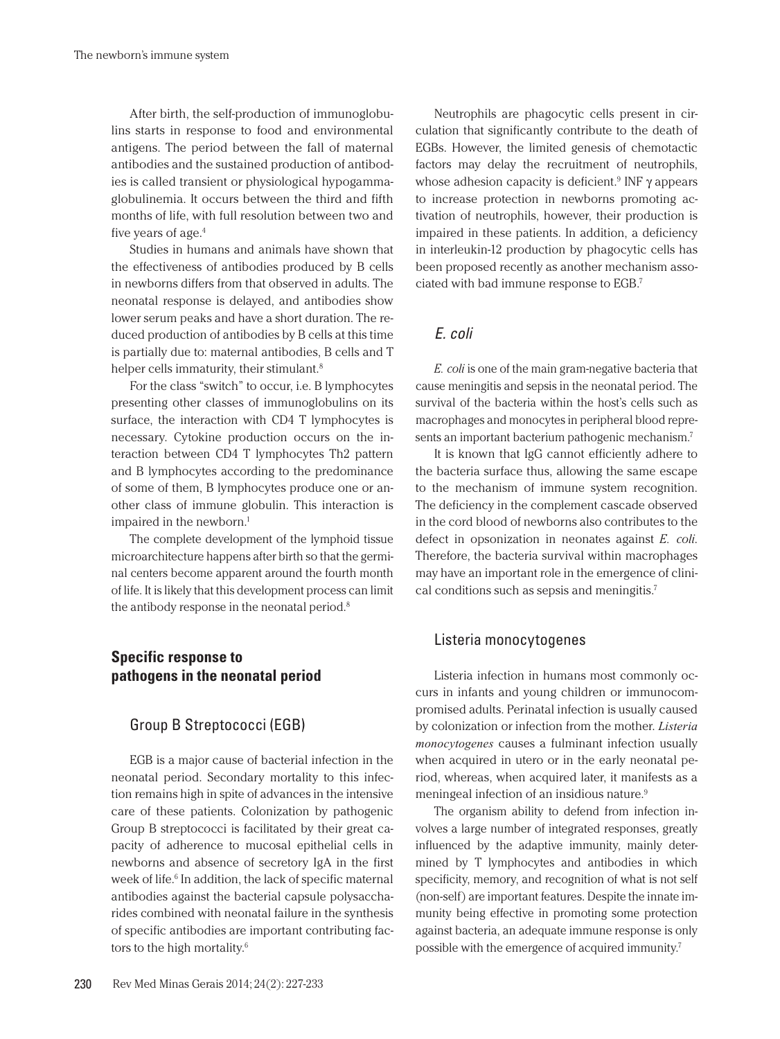After birth, the self-production of immunoglobulins starts in response to food and environmental antigens. The period between the fall of maternal antibodies and the sustained production of antibodies is called transient or physiological hypogammaglobulinemia. It occurs between the third and fifth months of life, with full resolution between two and five years of age.4

Studies in humans and animals have shown that the effectiveness of antibodies produced by B cells in newborns differs from that observed in adults. The neonatal response is delayed, and antibodies show lower serum peaks and have a short duration. The reduced production of antibodies by B cells at this time is partially due to: maternal antibodies, B cells and T helper cells immaturity, their stimulant.<sup>8</sup>

For the class "switch" to occur, i.e. B lymphocytes presenting other classes of immunoglobulins on its surface, the interaction with CD4 T lymphocytes is necessary. Cytokine production occurs on the interaction between CD4 T lymphocytes Th2 pattern and B lymphocytes according to the predominance of some of them, B lymphocytes produce one or another class of immune globulin. This interaction is impaired in the newborn.<sup>1</sup>

The complete development of the lymphoid tissue microarchitecture happens after birth so that the germinal centers become apparent around the fourth month of life. It is likely that this development process can limit the antibody response in the neonatal period.<sup>8</sup>

# **Specific response to pathogens in the neonatal period**

#### Group B Streptococci (EGB)

EGB is a major cause of bacterial infection in the neonatal period. Secondary mortality to this infection remains high in spite of advances in the intensive care of these patients. Colonization by pathogenic Group B streptococci is facilitated by their great capacity of adherence to mucosal epithelial cells in newborns and absence of secretory IgA in the first week of life.<sup>6</sup> In addition, the lack of specific maternal antibodies against the bacterial capsule polysaccharides combined with neonatal failure in the synthesis of specific antibodies are important contributing factors to the high mortality.6

Neutrophils are phagocytic cells present in circulation that significantly contribute to the death of EGBs. However, the limited genesis of chemotactic factors may delay the recruitment of neutrophils, whose adhesion capacity is deficient.<sup>9</sup> INF  $\gamma$  appears to increase protection in newborns promoting activation of neutrophils, however, their production is impaired in these patients. In addition, a deficiency in interleukin-12 production by phagocytic cells has been proposed recently as another mechanism associated with bad immune response to EGB.7

# *E. coli*

*E. coli* is one of the main gram-negative bacteria that cause meningitis and sepsis in the neonatal period. The survival of the bacteria within the host's cells such as macrophages and monocytes in peripheral blood represents an important bacterium pathogenic mechanism.7

It is known that IgG cannot efficiently adhere to the bacteria surface thus, allowing the same escape to the mechanism of immune system recognition. The deficiency in the complement cascade observed in the cord blood of newborns also contributes to the defect in opsonization in neonates against *E. coli*. Therefore, the bacteria survival within macrophages may have an important role in the emergence of clinical conditions such as sepsis and meningitis.7

#### Listeria monocytogenes

Listeria infection in humans most commonly occurs in infants and young children or immunocompromised adults. Perinatal infection is usually caused by colonization or infection from the mother. *Listeria monocytogenes* causes a fulminant infection usually when acquired in utero or in the early neonatal period, whereas, when acquired later, it manifests as a meningeal infection of an insidious nature.<sup>9</sup>

The organism ability to defend from infection involves a large number of integrated responses, greatly influenced by the adaptive immunity, mainly determined by T lymphocytes and antibodies in which specificity, memory, and recognition of what is not self (non-self) are important features. Despite the innate immunity being effective in promoting some protection against bacteria, an adequate immune response is only possible with the emergence of acquired immunity.7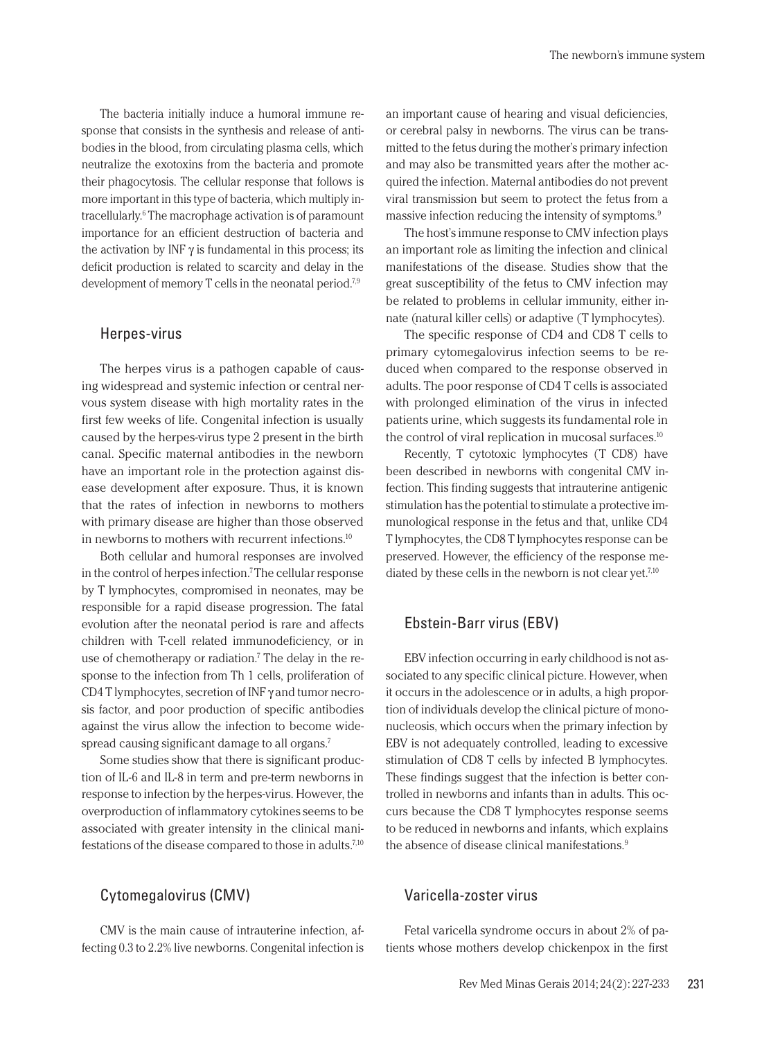The bacteria initially induce a humoral immune response that consists in the synthesis and release of antibodies in the blood, from circulating plasma cells, which neutralize the exotoxins from the bacteria and promote their phagocytosis. The cellular response that follows is more important in this type of bacteria, which multiply intracellularly.6 The macrophage activation is of paramount importance for an efficient destruction of bacteria and the activation by INF  $\gamma$  is fundamental in this process; its deficit production is related to scarcity and delay in the development of memory T cells in the neonatal period.<sup>7,9</sup>

#### Herpes-virus

The herpes virus is a pathogen capable of causing widespread and systemic infection or central nervous system disease with high mortality rates in the first few weeks of life. Congenital infection is usually caused by the herpes-virus type 2 present in the birth canal. Specific maternal antibodies in the newborn have an important role in the protection against disease development after exposure. Thus, it is known that the rates of infection in newborns to mothers with primary disease are higher than those observed in newborns to mothers with recurrent infections.10

Both cellular and humoral responses are involved in the control of herpes infection.7 The cellular response by T lymphocytes, compromised in neonates, may be responsible for a rapid disease progression. The fatal evolution after the neonatal period is rare and affects children with T-cell related immunodeficiency, or in use of chemotherapy or radiation.<sup>7</sup> The delay in the response to the infection from Th 1 cells, proliferation of CD4 T lymphocytes, secretion of INF γ and tumor necrosis factor, and poor production of specific antibodies against the virus allow the infection to become widespread causing significant damage to all organs.7

Some studies show that there is significant production of IL-6 and IL-8 in term and pre-term newborns in response to infection by the herpes-virus. However, the overproduction of inflammatory cytokines seems to be associated with greater intensity in the clinical manifestations of the disease compared to those in adults.7,10

# Cytomegalovirus (CMV)

CMV is the main cause of intrauterine infection, affecting 0.3 to 2.2% live newborns. Congenital infection is an important cause of hearing and visual deficiencies, or cerebral palsy in newborns. The virus can be transmitted to the fetus during the mother's primary infection and may also be transmitted years after the mother acquired the infection. Maternal antibodies do not prevent viral transmission but seem to protect the fetus from a massive infection reducing the intensity of symptoms.9

The host's immune response to CMV infection plays an important role as limiting the infection and clinical manifestations of the disease. Studies show that the great susceptibility of the fetus to CMV infection may be related to problems in cellular immunity, either innate (natural killer cells) or adaptive (T lymphocytes).

The specific response of CD4 and CD8 T cells to primary cytomegalovirus infection seems to be reduced when compared to the response observed in adults. The poor response of CD4 T cells is associated with prolonged elimination of the virus in infected patients urine, which suggests its fundamental role in the control of viral replication in mucosal surfaces.<sup>10</sup>

Recently, T cytotoxic lymphocytes (T CD8) have been described in newborns with congenital CMV infection. This finding suggests that intrauterine antigenic stimulation has the potential to stimulate a protective immunological response in the fetus and that, unlike CD4 T lymphocytes, the CD8 T lymphocytes response can be preserved. However, the efficiency of the response mediated by these cells in the newborn is not clear yet.<sup>7,10</sup>

#### Ebstein-Barr virus (EBV)

EBV infection occurring in early childhood is not associated to any specific clinical picture. However, when it occurs in the adolescence or in adults, a high proportion of individuals develop the clinical picture of mononucleosis, which occurs when the primary infection by EBV is not adequately controlled, leading to excessive stimulation of CD8 T cells by infected B lymphocytes. These findings suggest that the infection is better controlled in newborns and infants than in adults. This occurs because the CD8 T lymphocytes response seems to be reduced in newborns and infants, which explains the absence of disease clinical manifestations.9

# Varicella-zoster virus

Fetal varicella syndrome occurs in about 2% of patients whose mothers develop chickenpox in the first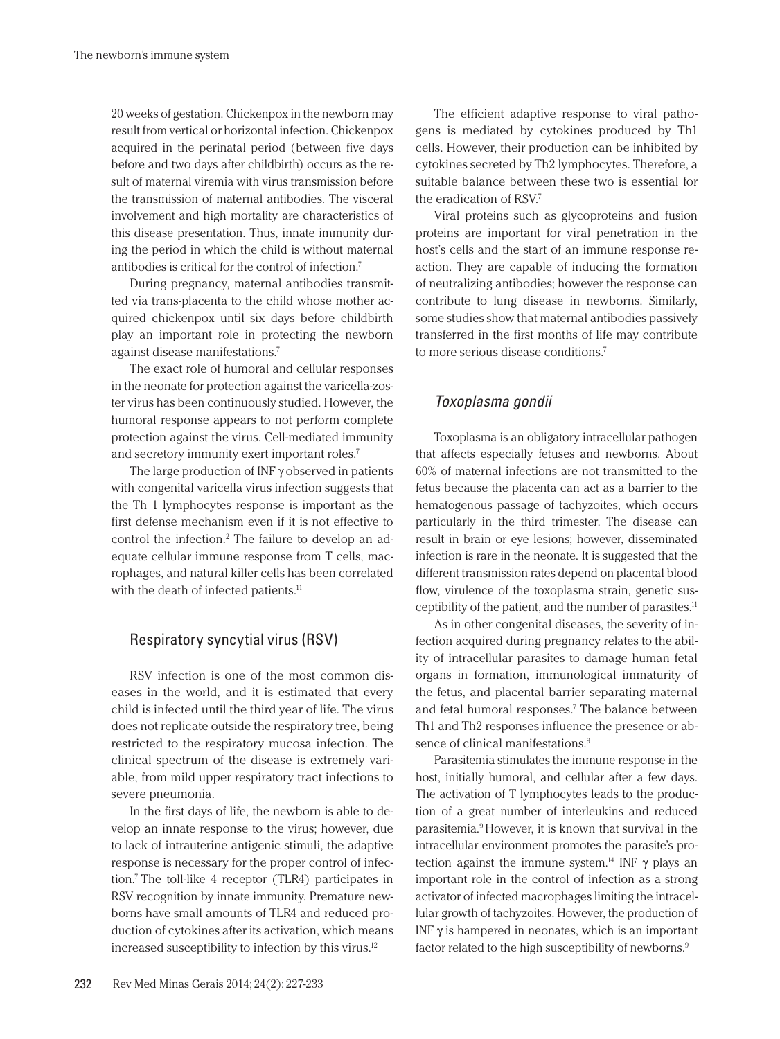20 weeks of gestation. Chickenpox in the newborn may result from vertical or horizontal infection. Chickenpox acquired in the perinatal period (between five days before and two days after childbirth) occurs as the result of maternal viremia with virus transmission before the transmission of maternal antibodies. The visceral involvement and high mortality are characteristics of this disease presentation. Thus, innate immunity during the period in which the child is without maternal antibodies is critical for the control of infection.7

During pregnancy, maternal antibodies transmitted via trans-placenta to the child whose mother acquired chickenpox until six days before childbirth play an important role in protecting the newborn against disease manifestations.7

The exact role of humoral and cellular responses in the neonate for protection against the varicella-zoster virus has been continuously studied. However, the humoral response appears to not perform complete protection against the virus. Cell-mediated immunity and secretory immunity exert important roles.7

The large production of INF γ observed in patients with congenital varicella virus infection suggests that the Th 1 lymphocytes response is important as the first defense mechanism even if it is not effective to control the infection.2 The failure to develop an adequate cellular immune response from T cells, macrophages, and natural killer cells has been correlated with the death of infected patients.<sup>11</sup>

# Respiratory syncytial virus (RSV)

RSV infection is one of the most common diseases in the world, and it is estimated that every child is infected until the third year of life. The virus does not replicate outside the respiratory tree, being restricted to the respiratory mucosa infection. The clinical spectrum of the disease is extremely variable, from mild upper respiratory tract infections to severe pneumonia.

In the first days of life, the newborn is able to develop an innate response to the virus; however, due to lack of intrauterine antigenic stimuli, the adaptive response is necessary for the proper control of infection.7 The toll-like 4 receptor (TLR4) participates in RSV recognition by innate immunity. Premature newborns have small amounts of TLR4 and reduced production of cytokines after its activation, which means increased susceptibility to infection by this virus.12

The efficient adaptive response to viral pathogens is mediated by cytokines produced by Th1 cells. However, their production can be inhibited by cytokines secreted by Th2 lymphocytes. Therefore, a suitable balance between these two is essential for the eradication of  $RSV<sup>7</sup>$ 

Viral proteins such as glycoproteins and fusion proteins are important for viral penetration in the host's cells and the start of an immune response reaction. They are capable of inducing the formation of neutralizing antibodies; however the response can contribute to lung disease in newborns. Similarly, some studies show that maternal antibodies passively transferred in the first months of life may contribute to more serious disease conditions.7

# *Toxoplasma gondii*

Toxoplasma is an obligatory intracellular pathogen that affects especially fetuses and newborns. About 60% of maternal infections are not transmitted to the fetus because the placenta can act as a barrier to the hematogenous passage of tachyzoites, which occurs particularly in the third trimester. The disease can result in brain or eye lesions; however, disseminated infection is rare in the neonate. It is suggested that the different transmission rates depend on placental blood flow, virulence of the toxoplasma strain, genetic susceptibility of the patient, and the number of parasites.<sup>11</sup>

As in other congenital diseases, the severity of infection acquired during pregnancy relates to the ability of intracellular parasites to damage human fetal organs in formation, immunological immaturity of the fetus, and placental barrier separating maternal and fetal humoral responses.<sup>7</sup> The balance between Th1 and Th2 responses influence the presence or absence of clinical manifestations.<sup>9</sup>

Parasitemia stimulates the immune response in the host, initially humoral, and cellular after a few days. The activation of T lymphocytes leads to the production of a great number of interleukins and reduced parasitemia.9 However, it is known that survival in the intracellular environment promotes the parasite's protection against the immune system.<sup>14</sup> INF  $\gamma$  plays an important role in the control of infection as a strong activator of infected macrophages limiting the intracellular growth of tachyzoites. However, the production of INF  $\gamma$  is hampered in neonates, which is an important factor related to the high susceptibility of newborns.<sup>9</sup>